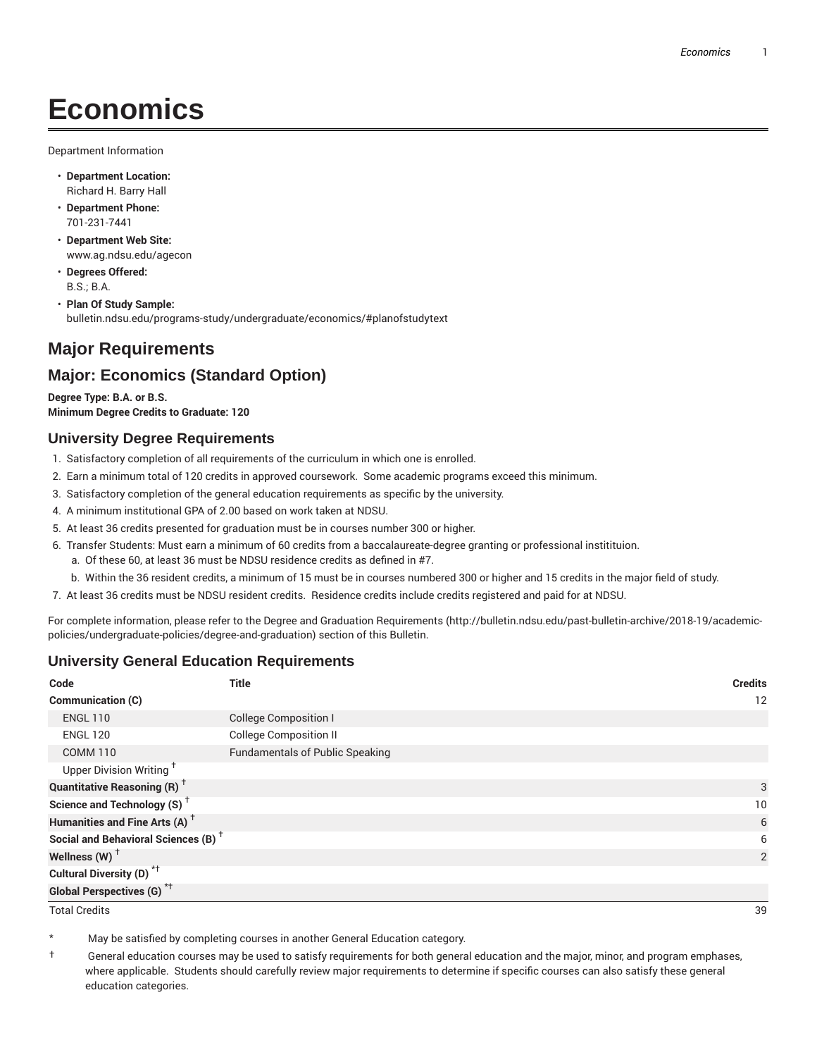# **Economics**

Department Information

- **Department Location:** Richard H. Barry Hall
- **Department Phone:** 701-231-7441
- **Department Web Site:** www.ag.ndsu.edu/agecon
- **Degrees Offered:** B.S.; B.A.
- **Plan Of Study Sample:** bulletin.ndsu.edu/programs-study/undergraduate/economics/#planofstudytext

# **Major Requirements**

# **Major: Economics (Standard Option)**

**Degree Type: B.A. or B.S. Minimum Degree Credits to Graduate: 120**

## **University Degree Requirements**

- 1. Satisfactory completion of all requirements of the curriculum in which one is enrolled.
- 2. Earn a minimum total of 120 credits in approved coursework. Some academic programs exceed this minimum.
- 3. Satisfactory completion of the general education requirements as specific by the university.
- 4. A minimum institutional GPA of 2.00 based on work taken at NDSU.
- 5. At least 36 credits presented for graduation must be in courses number 300 or higher.
- 6. Transfer Students: Must earn a minimum of 60 credits from a baccalaureate-degree granting or professional institituion.
	- a. Of these 60, at least 36 must be NDSU residence credits as defined in #7.
	- b. Within the 36 resident credits, a minimum of 15 must be in courses numbered 300 or higher and 15 credits in the major field of study.
- 7. At least 36 credits must be NDSU resident credits. Residence credits include credits registered and paid for at NDSU.

For complete information, please refer to the Degree and Graduation Requirements (http://bulletin.ndsu.edu/past-bulletin-archive/2018-19/academicpolicies/undergraduate-policies/degree-and-graduation) section of this Bulletin.

## **University General Education Requirements**

| Code                                            | <b>Title</b>                           | <b>Credits</b> |
|-------------------------------------------------|----------------------------------------|----------------|
| <b>Communication (C)</b>                        |                                        | 12             |
| <b>ENGL 110</b>                                 | <b>College Composition I</b>           |                |
| <b>ENGL 120</b>                                 | <b>College Composition II</b>          |                |
| <b>COMM 110</b>                                 | <b>Fundamentals of Public Speaking</b> |                |
| Upper Division Writing <sup>+</sup>             |                                        |                |
| <b>Quantitative Reasoning (R)</b> <sup>†</sup>  |                                        | 3              |
| Science and Technology (S) <sup>+</sup>         |                                        | 10             |
| Humanities and Fine Arts (A) <sup>+</sup>       |                                        | 6              |
| Social and Behavioral Sciences (B) <sup>+</sup> |                                        | 6              |
| Wellness $(W)$ <sup>+</sup>                     |                                        | 2              |
| Cultural Diversity (D) <sup>*†</sup>            |                                        |                |
| <b>Global Perspectives (G)<sup>*†</sup></b>     |                                        |                |

Total Credits 39

May be satisfied by completing courses in another General Education category.

† General education courses may be used to satisfy requirements for both general education and the major, minor, and program emphases, where applicable. Students should carefully review major requirements to determine if specific courses can also satisfy these general education categories.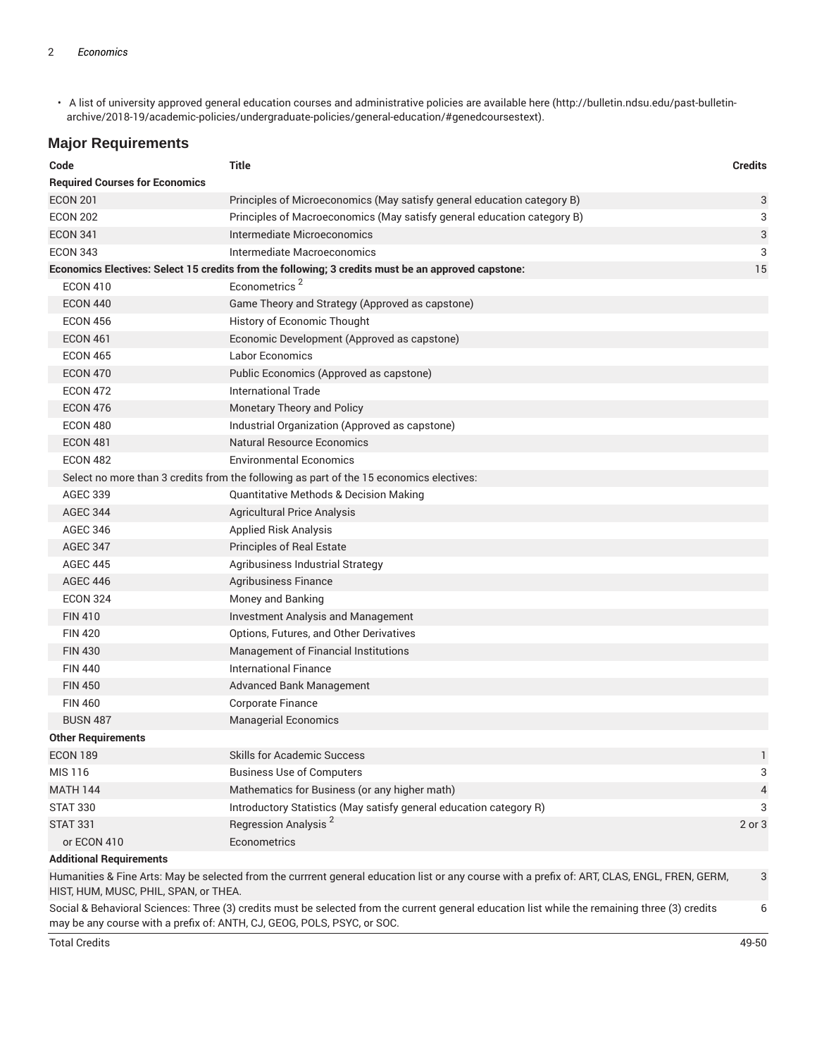• A list of university approved general education courses and administrative policies are available here (http://bulletin.ndsu.edu/past-bulletinarchive/2018-19/academic-policies/undergraduate-policies/general-education/#genedcoursestext).

#### **Major Requirements**

| Code                                  | <b>Title</b>                                                                                                                                  | <b>Credits</b> |
|---------------------------------------|-----------------------------------------------------------------------------------------------------------------------------------------------|----------------|
| <b>Required Courses for Economics</b> |                                                                                                                                               |                |
| <b>ECON 201</b>                       | Principles of Microeconomics (May satisfy general education category B)                                                                       | 3              |
| <b>ECON 202</b>                       | Principles of Macroeconomics (May satisfy general education category B)                                                                       | 3              |
| <b>ECON 341</b>                       | Intermediate Microeconomics                                                                                                                   | 3              |
| <b>ECON 343</b>                       | Intermediate Macroeconomics                                                                                                                   | 3              |
|                                       | Economics Electives: Select 15 credits from the following; 3 credits must be an approved capstone:                                            | 15             |
| <b>ECON 410</b>                       | Econometrics <sup>2</sup>                                                                                                                     |                |
| <b>ECON 440</b>                       | Game Theory and Strategy (Approved as capstone)                                                                                               |                |
| <b>ECON 456</b>                       | History of Economic Thought                                                                                                                   |                |
| <b>ECON 461</b>                       | Economic Development (Approved as capstone)                                                                                                   |                |
| <b>ECON 465</b>                       | <b>Labor Economics</b>                                                                                                                        |                |
| <b>ECON 470</b>                       | Public Economics (Approved as capstone)                                                                                                       |                |
| <b>ECON 472</b>                       | <b>International Trade</b>                                                                                                                    |                |
| <b>ECON 476</b>                       | Monetary Theory and Policy                                                                                                                    |                |
| <b>ECON 480</b>                       | Industrial Organization (Approved as capstone)                                                                                                |                |
| <b>ECON 481</b>                       | <b>Natural Resource Economics</b>                                                                                                             |                |
| <b>ECON 482</b>                       | <b>Environmental Economics</b>                                                                                                                |                |
|                                       | Select no more than 3 credits from the following as part of the 15 economics electives:                                                       |                |
| <b>AGEC 339</b>                       | <b>Quantitative Methods &amp; Decision Making</b>                                                                                             |                |
| <b>AGEC 344</b>                       | <b>Agricultural Price Analysis</b>                                                                                                            |                |
| <b>AGEC 346</b>                       | <b>Applied Risk Analysis</b>                                                                                                                  |                |
| <b>AGEC 347</b>                       | <b>Principles of Real Estate</b>                                                                                                              |                |
| <b>AGEC 445</b>                       | Agribusiness Industrial Strategy                                                                                                              |                |
| <b>AGEC 446</b>                       | Agribusiness Finance                                                                                                                          |                |
| <b>ECON 324</b>                       | Money and Banking                                                                                                                             |                |
| <b>FIN 410</b>                        | <b>Investment Analysis and Management</b>                                                                                                     |                |
| <b>FIN 420</b>                        | Options, Futures, and Other Derivatives                                                                                                       |                |
| <b>FIN 430</b>                        | Management of Financial Institutions                                                                                                          |                |
| <b>FIN 440</b>                        | <b>International Finance</b>                                                                                                                  |                |
| <b>FIN 450</b>                        | <b>Advanced Bank Management</b>                                                                                                               |                |
| <b>FIN 460</b>                        | Corporate Finance                                                                                                                             |                |
| <b>BUSN 487</b>                       | <b>Managerial Economics</b>                                                                                                                   |                |
| <b>Other Requirements</b>             |                                                                                                                                               |                |
| <b>ECON 189</b>                       | <b>Skills for Academic Success</b>                                                                                                            | $\mathbf{1}$   |
| <b>MIS 116</b>                        | <b>Business Use of Computers</b>                                                                                                              | 3              |
| <b>MATH 144</b>                       | Mathematics for Business (or any higher math)                                                                                                 | 4              |
| <b>STAT 330</b>                       | Introductory Statistics (May satisfy general education category R)                                                                            | 3              |
| <b>STAT 331</b>                       | Regression Analysis <sup>2</sup>                                                                                                              | 2 or 3         |
| or ECON 410                           | Econometrics                                                                                                                                  |                |
| <b>Additional Requirements</b>        |                                                                                                                                               |                |
|                                       | Humanities & Fine Arts: May be selected from the currrent general education list or any course with a prefix of: ART, CLAS, ENGL, FREN, GERM, | 3              |

HIST, HUM, MUSC, PHIL, SPAN, or THEA.

Social & Behavioral Sciences: Three (3) credits must be selected from the current general education list while the remaining three (3) credits may be any course with a prefix of: ANTH, CJ, GEOG, POLS, PSYC, or SOC. 6

Total Credits 49-50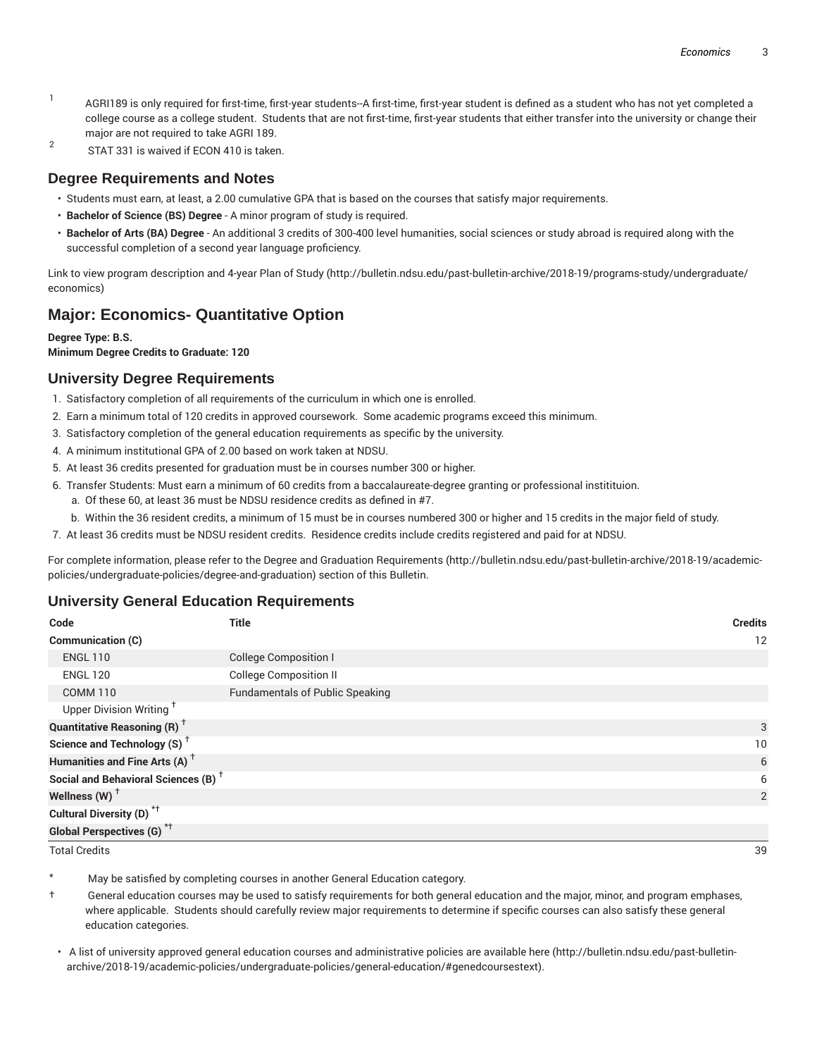- 1 AGRI189 is only required for first-time, first-year students--A first-time, first-year student is defined as a student who has not yet completed a college course as a college student. Students that are not first-time, first-year students that either transfer into the university or change their major are not required to take AGRI 189.
- 2 STAT 331 is waived if ECON 410 is taken.

#### **Degree Requirements and Notes**

- Students must earn, at least, a 2.00 cumulative GPA that is based on the courses that satisfy major requirements.
- **Bachelor of Science (BS) Degree** A minor program of study is required.
- **Bachelor of Arts (BA) Degree** An additional 3 credits of 300-400 level humanities, social sciences or study abroad is required along with the successful completion of a second year language proficiency.

Link to view program description and 4-year Plan of Study (http://bulletin.ndsu.edu/past-bulletin-archive/2018-19/programs-study/undergraduate/ economics)

## **Major: Economics- Quantitative Option**

#### **Degree Type: B.S.**

**Minimum Degree Credits to Graduate: 120**

## **University Degree Requirements**

- 1. Satisfactory completion of all requirements of the curriculum in which one is enrolled.
- 2. Earn a minimum total of 120 credits in approved coursework. Some academic programs exceed this minimum.
- 3. Satisfactory completion of the general education requirements as specific by the university.
- 4. A minimum institutional GPA of 2.00 based on work taken at NDSU.
- 5. At least 36 credits presented for graduation must be in courses number 300 or higher.
- 6. Transfer Students: Must earn a minimum of 60 credits from a baccalaureate-degree granting or professional institituion.
	- a. Of these 60, at least 36 must be NDSU residence credits as defined in #7.
	- b. Within the 36 resident credits, a minimum of 15 must be in courses numbered 300 or higher and 15 credits in the major field of study.
- 7. At least 36 credits must be NDSU resident credits. Residence credits include credits registered and paid for at NDSU.

For complete information, please refer to the Degree and Graduation Requirements (http://bulletin.ndsu.edu/past-bulletin-archive/2018-19/academicpolicies/undergraduate-policies/degree-and-graduation) section of this Bulletin.

## **University General Education Requirements**

| Code                                                 | <b>Title</b>                           | <b>Credits</b> |
|------------------------------------------------------|----------------------------------------|----------------|
| Communication (C)                                    |                                        | 12             |
| <b>ENGL 110</b>                                      | <b>College Composition I</b>           |                |
| <b>ENGL 120</b>                                      | <b>College Composition II</b>          |                |
| <b>COMM 110</b>                                      | <b>Fundamentals of Public Speaking</b> |                |
| Upper Division Writing <sup>+</sup>                  |                                        |                |
| <b>Quantitative Reasoning (R)</b> <sup>†</sup>       |                                        | 3              |
| Science and Technology (S) <sup><math>†</math></sup> |                                        | 10             |
| Humanities and Fine Arts (A) <sup>+</sup>            |                                        | 6              |
| Social and Behavioral Sciences (B) <sup>+</sup>      |                                        | 6              |
| Wellness (W) $^{\dagger}$                            |                                        | 2              |
| Cultural Diversity (D) <sup>*†</sup>                 |                                        |                |
| Global Perspectives (G) <sup>*†</sup>                |                                        |                |

Total Credits 39

May be satisfied by completing courses in another General Education category.

† General education courses may be used to satisfy requirements for both general education and the major, minor, and program emphases, where applicable. Students should carefully review major requirements to determine if specific courses can also satisfy these general education categories.

• A list of university approved general education courses and administrative policies are available here (http://bulletin.ndsu.edu/past-bulletinarchive/2018-19/academic-policies/undergraduate-policies/general-education/#genedcoursestext).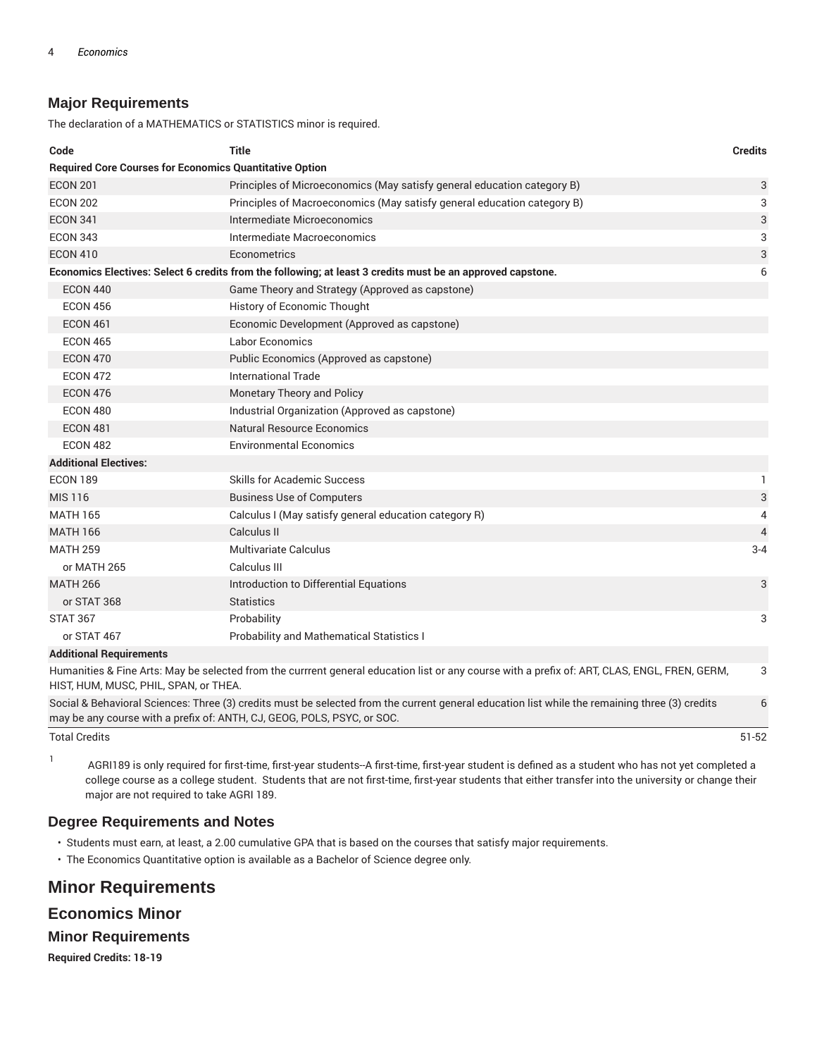## **Major Requirements**

The declaration of a MATHEMATICS or STATISTICS minor is required.

| Code                                                                                                                                                | <b>Title</b>                                                                                                                                  | <b>Credits</b> |  |  |  |
|-----------------------------------------------------------------------------------------------------------------------------------------------------|-----------------------------------------------------------------------------------------------------------------------------------------------|----------------|--|--|--|
| <b>Required Core Courses for Economics Quantitative Option</b>                                                                                      |                                                                                                                                               |                |  |  |  |
| <b>ECON 201</b>                                                                                                                                     | Principles of Microeconomics (May satisfy general education category B)                                                                       |                |  |  |  |
| <b>ECON 202</b>                                                                                                                                     | Principles of Macroeconomics (May satisfy general education category B)                                                                       |                |  |  |  |
| <b>ECON 341</b>                                                                                                                                     | Intermediate Microeconomics                                                                                                                   |                |  |  |  |
| <b>ECON 343</b>                                                                                                                                     | Intermediate Macroeconomics                                                                                                                   |                |  |  |  |
| <b>ECON 410</b>                                                                                                                                     | Econometrics                                                                                                                                  | 3              |  |  |  |
| Economics Electives: Select 6 credits from the following; at least 3 credits must be an approved capstone.<br>6                                     |                                                                                                                                               |                |  |  |  |
| <b>ECON 440</b>                                                                                                                                     | Game Theory and Strategy (Approved as capstone)                                                                                               |                |  |  |  |
| <b>ECON 456</b>                                                                                                                                     | History of Economic Thought                                                                                                                   |                |  |  |  |
| <b>ECON 461</b>                                                                                                                                     | Economic Development (Approved as capstone)                                                                                                   |                |  |  |  |
| <b>ECON 465</b>                                                                                                                                     | <b>Labor Economics</b>                                                                                                                        |                |  |  |  |
| <b>ECON 470</b>                                                                                                                                     | Public Economics (Approved as capstone)                                                                                                       |                |  |  |  |
| <b>ECON 472</b>                                                                                                                                     | International Trade                                                                                                                           |                |  |  |  |
| <b>ECON 476</b>                                                                                                                                     | Monetary Theory and Policy                                                                                                                    |                |  |  |  |
| <b>ECON 480</b>                                                                                                                                     | Industrial Organization (Approved as capstone)                                                                                                |                |  |  |  |
| <b>ECON 481</b>                                                                                                                                     | Natural Resource Economics                                                                                                                    |                |  |  |  |
| <b>ECON 482</b>                                                                                                                                     | <b>Environmental Economics</b>                                                                                                                |                |  |  |  |
| <b>Additional Electives:</b>                                                                                                                        |                                                                                                                                               |                |  |  |  |
| <b>ECON 189</b>                                                                                                                                     | <b>Skills for Academic Success</b>                                                                                                            | 1              |  |  |  |
| <b>MIS 116</b>                                                                                                                                      | <b>Business Use of Computers</b>                                                                                                              | 3              |  |  |  |
| <b>MATH 165</b>                                                                                                                                     | Calculus I (May satisfy general education category R)                                                                                         | 4              |  |  |  |
| <b>MATH 166</b>                                                                                                                                     | Calculus II                                                                                                                                   | $\overline{4}$ |  |  |  |
| <b>MATH 259</b>                                                                                                                                     | <b>Multivariate Calculus</b>                                                                                                                  | $3 - 4$        |  |  |  |
| or MATH 265                                                                                                                                         | Calculus III                                                                                                                                  |                |  |  |  |
| <b>MATH 266</b>                                                                                                                                     | Introduction to Differential Equations                                                                                                        | 3              |  |  |  |
| or STAT 368                                                                                                                                         | <b>Statistics</b>                                                                                                                             |                |  |  |  |
| <b>STAT 367</b>                                                                                                                                     | Probability                                                                                                                                   | 3              |  |  |  |
| or STAT 467                                                                                                                                         | <b>Probability and Mathematical Statistics I</b>                                                                                              |                |  |  |  |
| <b>Additional Requirements</b>                                                                                                                      |                                                                                                                                               |                |  |  |  |
| HIST, HUM, MUSC, PHIL, SPAN, or THEA.                                                                                                               | Humanities & Fine Arts: May be selected from the currrent general education list or any course with a prefix of: ART, CLAS, ENGL, FREN, GERM, | 3              |  |  |  |
| Social & Behavioral Sciences: Three (3) credits must be selected from the current general education list while the remaining three (3) credits<br>6 |                                                                                                                                               |                |  |  |  |

Social & Behavioral Sciences: Three (3) credits must be selected from the current general education list while the remaining three (3) credits may be any course with a prefix of: ANTH, CJ, GEOG, POLS, PSYC, or SOC.

Total Credits 51-52

1 AGRI189 is only required for first-time, first-year students--A first-time, first-year student is defined as a student who has not yet completed a college course as a college student. Students that are not first-time, first-year students that either transfer into the university or change their major are not required to take AGRI 189.

## **Degree Requirements and Notes**

- Students must earn, at least, a 2.00 cumulative GPA that is based on the courses that satisfy major requirements.
- The Economics Quantitative option is available as a Bachelor of Science degree only.

# **Minor Requirements**

## **Economics Minor**

#### **Minor Requirements**

**Required Credits: 18-19**